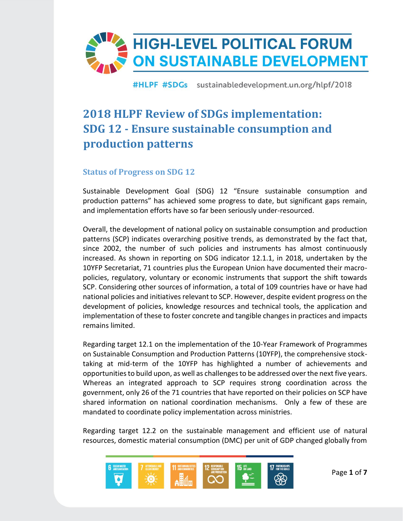

# **2018 HLPF Review of SDGs implementation: SDG 12 - Ensure sustainable consumption and production patterns**

## **Status of Progress on SDG 12**

Sustainable Development Goal (SDG) 12 "Ensure sustainable consumption and production patterns" has achieved some progress to date, but significant gaps remain, and implementation efforts have so far been seriously under-resourced.

Overall, the development of national policy on sustainable consumption and production patterns (SCP) indicates overarching positive trends, as demonstrated by the fact that, since 2002, the number of such policies and instruments has almost continuously increased. As shown in reporting on SDG indicator 12.1.1, in 2018, undertaken by the 10YFP Secretariat, 71 countries plus the European Union have documented their macropolicies, regulatory, voluntary or economic instruments that support the shift towards SCP. Considering other sources of information, a total of 109 countries have or have had national policies and initiatives relevant to SCP. However, despite evident progress on the development of policies, knowledge resources and technical tools, the application and implementation of these to foster concrete and tangible changes in practices and impacts remains limited.

Regarding target 12.1 on the implementation of the 10-Year Framework of Programmes on Sustainable Consumption and Production Patterns (10YFP), the comprehensive stocktaking at mid-term of the 10YFP has highlighted a number of achievements and opportunities to build upon, as well as challenges to be addressed over the next five years. Whereas an integrated approach to SCP requires strong coordination across the government, only 26 of the 71 countries that have reported on their policies on SCP have shared information on national coordination mechanisms. Only a few of these are mandated to coordinate policy implementation across ministries.

Regarding target 12.2 on the sustainable management and efficient use of natural resources, domestic material consumption (DMC) per unit of GDP changed globally from

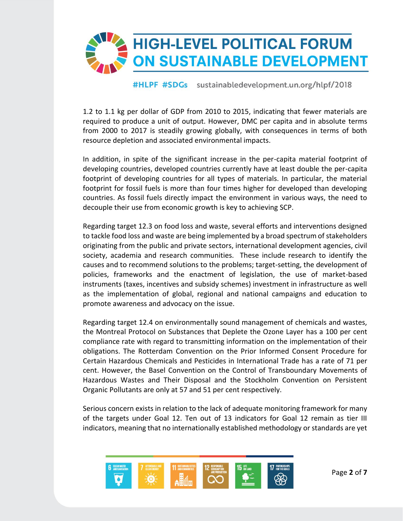

1.2 to 1.1 kg per dollar of GDP from 2010 to 2015, indicating that fewer materials are required to produce a unit of output. However, DMC per capita and in absolute terms from 2000 to 2017 is steadily growing globally, with consequences in terms of both resource depletion and associated environmental impacts.

In addition, in spite of the significant increase in the per-capita material footprint of developing countries, developed countries currently have at least double the per-capita footprint of developing countries for all types of materials. In particular, the material footprint for fossil fuels is more than four times higher for developed than developing countries. As fossil fuels directly impact the environment in various ways, the need to decouple their use from economic growth is key to achieving SCP.

Regarding target 12.3 on food loss and waste, several efforts and interventions designed to tackle food loss and waste are being implemented by a broad spectrum of stakeholders originating from the public and private sectors, international development agencies, civil society, academia and research communities. These include research to identify the causes and to recommend solutions to the problems; target-setting, the development of policies, frameworks and the enactment of legislation, the use of market-based instruments (taxes, incentives and subsidy schemes) investment in infrastructure as well as the implementation of global, regional and national campaigns and education to promote awareness and advocacy on the issue.

Regarding target 12.4 on environmentally sound management of chemicals and wastes, the Montreal Protocol on Substances that Deplete the Ozone Layer has a 100 per cent compliance rate with regard to transmitting information on the implementation of their obligations. The Rotterdam Convention on the Prior Informed Consent Procedure for Certain Hazardous Chemicals and Pesticides in International Trade has a rate of 71 per cent. However, the Basel Convention on the Control of Transboundary Movements of Hazardous Wastes and Their Disposal and the Stockholm Convention on Persistent Organic Pollutants are only at 57 and 51 per cent respectively.

Serious concern exists in relation to the lack of adequate monitoring framework for many of the targets under Goal 12. Ten out of 13 indicators for Goal 12 remain as tier III indicators, meaning that no internationally established methodology or standards are yet

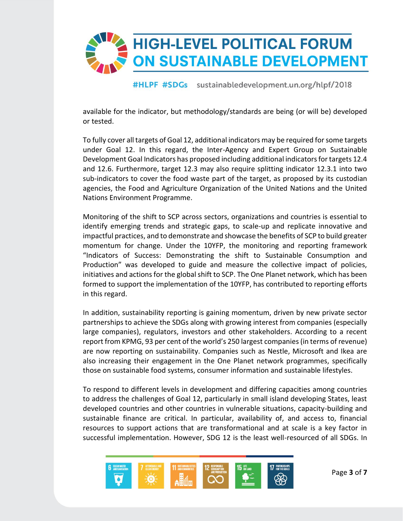

available for the indicator, but methodology/standards are being (or will be) developed or tested.

To fully cover all targets of Goal 12, additional indicators may be required for some targets under Goal 12. In this regard, the Inter-Agency and Expert Group on Sustainable Development Goal Indicators has proposed including additional indicators for targets 12.4 and 12.6. Furthermore, target 12.3 may also require splitting indicator 12.3.1 into two sub-indicators to cover the food waste part of the target, as proposed by its custodian agencies, the Food and Agriculture Organization of the United Nations and the United Nations Environment Programme.

Monitoring of the shift to SCP across sectors, organizations and countries is essential to identify emerging trends and strategic gaps, to scale-up and replicate innovative and impactful practices, and to demonstrate and showcase the benefits of SCP to build greater momentum for change. Under the 10YFP, the monitoring and reporting framework "Indicators of Success: Demonstrating the shift to Sustainable Consumption and Production" was developed to guide and measure the collective impact of policies, initiatives and actions for the global shift to SCP. The One Planet network, which has been formed to support the implementation of the 10YFP, has contributed to reporting efforts in this regard.

In addition, sustainability reporting is gaining momentum, driven by new private sector partnerships to achieve the SDGs along with growing interest from companies (especially large companies), regulators, investors and other stakeholders. According to a recent report from KPMG, 93 per cent of the world's 250 largest companies (in terms of revenue) are now reporting on sustainability. Companies such as Nestle, Microsoft and Ikea are also increasing their engagement in the One Planet network programmes, specifically those on sustainable food systems, consumer information and sustainable lifestyles.

To respond to different levels in development and differing capacities among countries to address the challenges of Goal 12, particularly in small island developing States, least developed countries and other countries in vulnerable situations, capacity-building and sustainable finance are critical. In particular, availability of, and access to, financial resources to support actions that are transformational and at scale is a key factor in successful implementation. However, SDG 12 is the least well-resourced of all SDGs. In

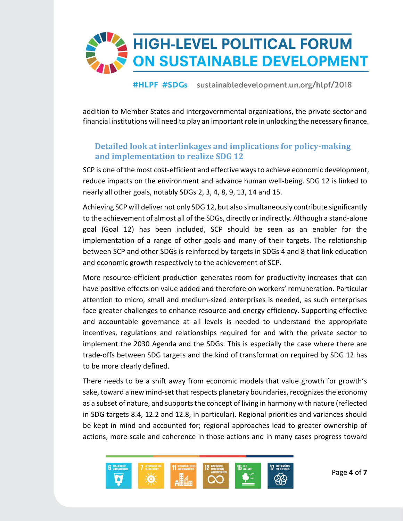

addition to Member States and intergovernmental organizations, the private sector and financial institutions will need to play an important role in unlocking the necessary finance.

# **Detailed look at interlinkages and implications for policy-making and implementation to realize SDG 12**

SCP is one of the most cost-efficient and effective ways to achieve economic development, reduce impacts on the environment and advance human well-being. SDG 12 is linked to nearly all other goals, notably SDGs 2, 3, 4, 8, 9, 13, 14 and 15.

Achieving SCP will deliver not only SDG 12, but also simultaneously contribute significantly to the achievement of almost all of the SDGs, directly or indirectly. Although a stand-alone goal (Goal 12) has been included, SCP should be seen as an enabler for the implementation of a range of other goals and many of their targets. The relationship between SCP and other SDGs is reinforced by targets in SDGs 4 and 8 that link education and economic growth respectively to the achievement of SCP.

More resource-efficient production generates room for productivity increases that can have positive effects on value added and therefore on workers' remuneration. Particular attention to micro, small and medium-sized enterprises is needed, as such enterprises face greater challenges to enhance resource and energy efficiency. Supporting effective and accountable governance at all levels is needed to understand the appropriate incentives, regulations and relationships required for and with the private sector to implement the 2030 Agenda and the SDGs. This is especially the case where there are trade-offs between SDG targets and the kind of transformation required by SDG 12 has to be more clearly defined.

There needs to be a shift away from economic models that value growth for growth's sake, toward a new mind-set that respects planetary boundaries, recognizes the economy as a subset of nature, and supports the concept of living in harmony with nature (reflected in SDG targets 8.4, 12.2 and 12.8, in particular). Regional priorities and variances should be kept in mind and accounted for; regional approaches lead to greater ownership of actions, more scale and coherence in those actions and in many cases progress toward

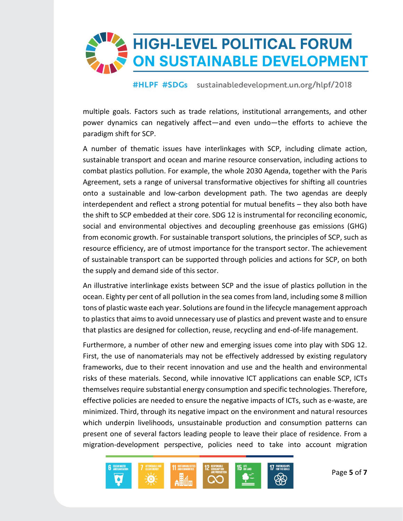

multiple goals. Factors such as trade relations, institutional arrangements, and other power dynamics can negatively affect—and even undo—the efforts to achieve the paradigm shift for SCP.

A number of thematic issues have interlinkages with SCP, including climate action, sustainable transport and ocean and marine resource conservation, including actions to combat plastics pollution. For example, the whole 2030 Agenda, together with the Paris Agreement, sets a range of universal transformative objectives for shifting all countries onto a sustainable and low-carbon development path. The two agendas are deeply interdependent and reflect a strong potential for mutual benefits – they also both have the shift to SCP embedded at their core. SDG 12 is instrumental for reconciling economic, social and environmental objectives and decoupling greenhouse gas emissions (GHG) from economic growth. For sustainable transport solutions, the principles of SCP, such as resource efficiency, are of utmost importance for the transport sector. The achievement of sustainable transport can be supported through policies and actions for SCP, on both the supply and demand side of this sector.

An illustrative interlinkage exists between SCP and the issue of plastics pollution in the ocean. Eighty per cent of all pollution in the sea comes from land, including some 8 million tons of plastic waste each year. Solutions are found in the lifecycle management approach to plastics that aims to avoid unnecessary use of plastics and prevent waste and to ensure that plastics are designed for collection, reuse, recycling and end-of-life management.

Furthermore, a number of other new and emerging issues come into play with SDG 12. First, the use of nanomaterials may not be effectively addressed by existing regulatory frameworks, due to their recent innovation and use and the health and environmental risks of these materials. Second, while innovative ICT applications can enable SCP, ICTs themselves require substantial energy consumption and specific technologies. Therefore, effective policies are needed to ensure the negative impacts of ICTs, such as e-waste, are minimized. Third, through its negative impact on the environment and natural resources which underpin livelihoods, unsustainable production and consumption patterns can present one of several factors leading people to leave their place of residence. From a migration-development perspective, policies need to take into account migration

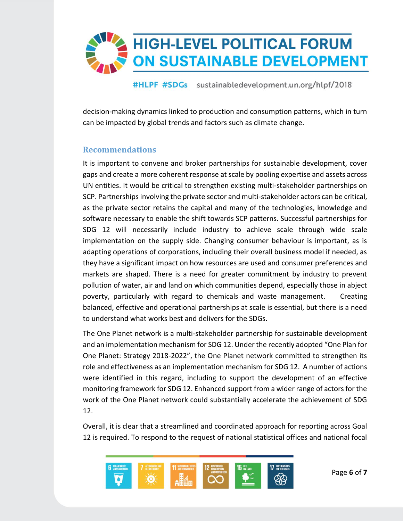

decision-making dynamics linked to production and consumption patterns, which in turn can be impacted by global trends and factors such as climate change.

## **Recommendations**

It is important to convene and broker partnerships for sustainable development, cover gaps and create a more coherent response at scale by pooling expertise and assets across UN entities. It would be critical to strengthen existing multi-stakeholder partnerships on SCP. Partnerships involving the private sector and multi-stakeholder actors can be critical, as the private sector retains the capital and many of the technologies, knowledge and software necessary to enable the shift towards SCP patterns. Successful partnerships for SDG 12 will necessarily include industry to achieve scale through wide scale implementation on the supply side. Changing consumer behaviour is important, as is adapting operations of corporations, including their overall business model if needed, as they have a significant impact on how resources are used and consumer preferences and markets are shaped. There is a need for greater commitment by industry to prevent pollution of water, air and land on which communities depend, especially those in abject poverty, particularly with regard to chemicals and waste management. Creating balanced, effective and operational partnerships at scale is essential, but there is a need to understand what works best and delivers for the SDGs.

The One Planet network is a multi-stakeholder partnership for sustainable development and an implementation mechanism for SDG 12. Under the recently adopted "One Plan for One Planet: Strategy 2018-2022", the One Planet network committed to strengthen its role and effectiveness as an implementation mechanism for SDG 12. A number of actions were identified in this regard, including to support the development of an effective monitoring framework for SDG 12. Enhanced support from a wider range of actors for the work of the One Planet network could substantially accelerate the achievement of SDG 12.

Overall, it is clear that a streamlined and coordinated approach for reporting across Goal 12 is required. To respond to the request of national statistical offices and national focal